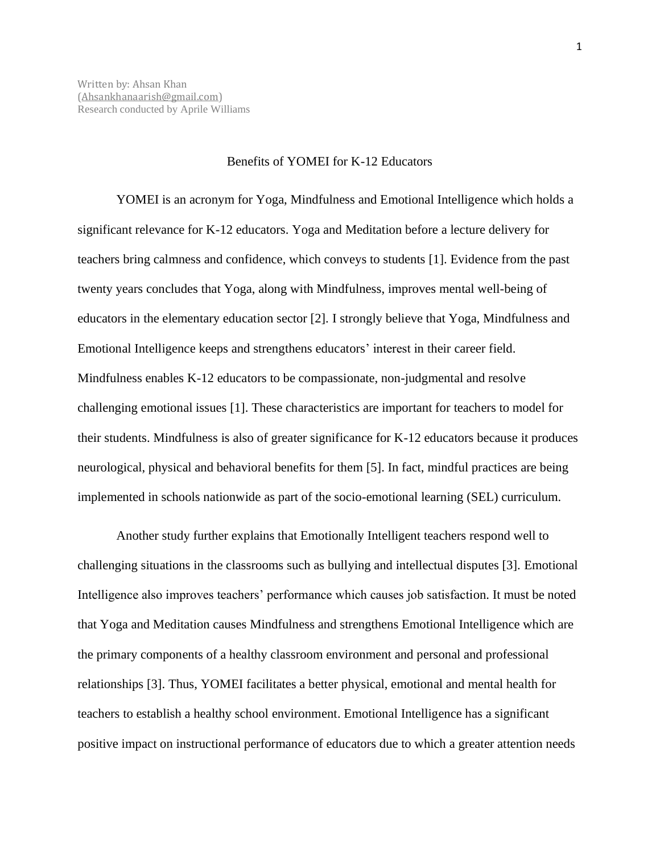## Benefits of YOMEI for K-12 Educators

YOMEI is an acronym for Yoga, Mindfulness and Emotional Intelligence which holds a significant relevance for K-12 educators. Yoga and Meditation before a lecture delivery for teachers bring calmness and confidence, which conveys to students [1]. Evidence from the past twenty years concludes that Yoga, along with Mindfulness, improves mental well-being of educators in the elementary education sector [2]. I strongly believe that Yoga, Mindfulness and Emotional Intelligence keeps and strengthens educators' interest in their career field. Mindfulness enables K-12 educators to be compassionate, non-judgmental and resolve challenging emotional issues [1]. These characteristics are important for teachers to model for their students. Mindfulness is also of greater significance for K-12 educators because it produces neurological, physical and behavioral benefits for them [5]. In fact, mindful practices are being implemented in schools nationwide as part of the socio-emotional learning (SEL) curriculum.

Another study further explains that Emotionally Intelligent teachers respond well to challenging situations in the classrooms such as bullying and intellectual disputes [3]. Emotional Intelligence also improves teachers' performance which causes job satisfaction. It must be noted that Yoga and Meditation causes Mindfulness and strengthens Emotional Intelligence which are the primary components of a healthy classroom environment and personal and professional relationships [3]. Thus, YOMEI facilitates a better physical, emotional and mental health for teachers to establish a healthy school environment. Emotional Intelligence has a significant positive impact on instructional performance of educators due to which a greater attention needs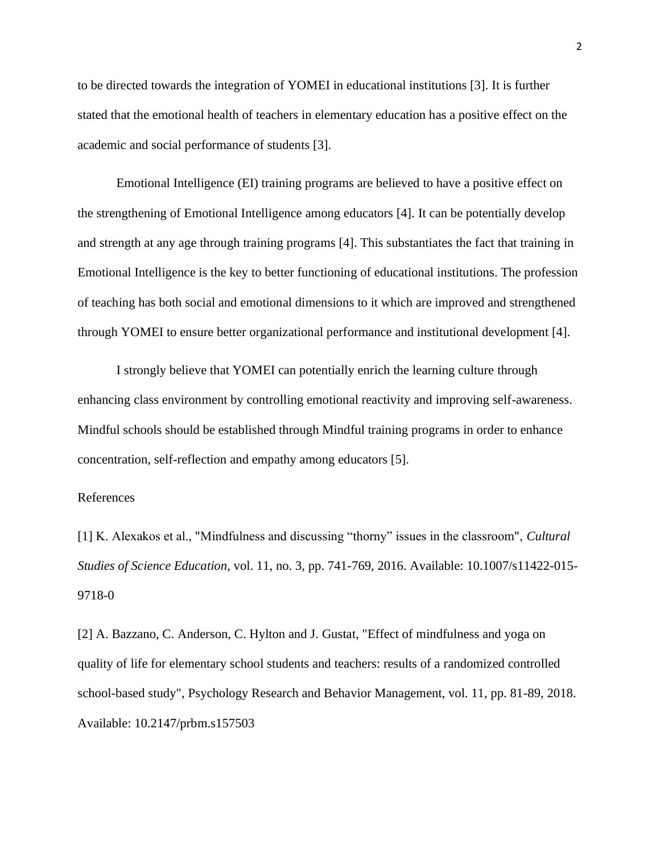to be directed towards the integration of YOMEI in educational institutions [3]. It is further stated that the emotional health of teachers in elementary education has a positive effect on the academic and social performance of students [3].

Emotional Intelligence (EI) training programs are believed to have a positive effect on the strengthening of Emotional Intelligence among educators [4]. It can be potentially develop and strength at any age through training programs [4]. This substantiates the fact that training in Emotional Intelligence is the key to better functioning of educational institutions. The profession of teaching has both social and emotional dimensions to it which are improved and strengthened through YOMEI to ensure better organizational performance and institutional development [4].

I strongly believe that YOMEI can potentially enrich the learning culture through enhancing class environment by controlling emotional reactivity and improving self-awareness. Mindful schools should be established through Mindful training programs in order to enhance concentration, self-reflection and empathy among educators [5].

## References

[1] K. Alexakos et al., "Mindfulness and discussing "thorny" issues in the classroom", *Cultural Studies of Science Education*, vol. 11, no. 3, pp. 741-769, 2016. Available: 10.1007/s11422-015- 9718-0

[2] A. Bazzano, C. Anderson, C. Hylton and J. Gustat, "Effect of mindfulness and yoga on quality of life for elementary school students and teachers: results of a randomized controlled school-based study", Psychology Research and Behavior Management, vol. 11, pp. 81-89, 2018. Available: 10.2147/prbm.s157503